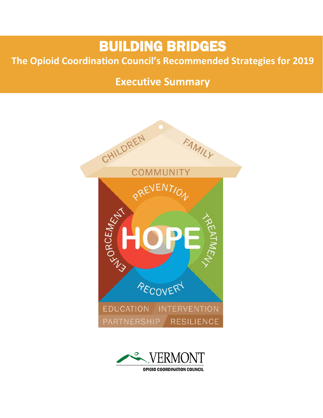# BUILDING BRIDGES

# **The Opioid Coordination Council's Recommended Strategies for 2019**

# **Executive Summary**



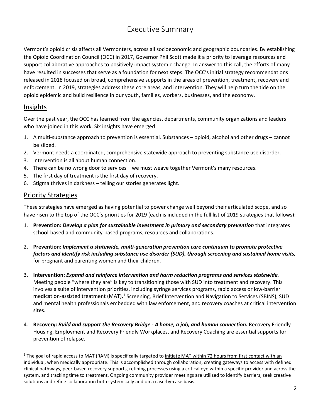# Executive Summary

Vermont's opioid crisis affects all Vermonters, across all socioeconomic and geographic boundaries. By establishing the Opioid Coordination Council (OCC) in 2017, Governor Phil Scott made it a priority to leverage resources and support collaborative approaches to positively impact systemic change. In answer to this call, the efforts of many have resulted in successes that serve as a foundation for next steps. The OCC's initial strategy recommendations released in 2018 focused on broad, comprehensive supports in the areas of prevention, treatment, recovery and enforcement. In 2019, strategies address these core areas, and intervention. They will help turn the tide on the opioid epidemic and build resilience in our youth, families, workers, businesses, and the economy.

### Insights

Over the past year, the OCC has learned from the agencies, departments, community organizations and leaders who have joined in this work. Six insights have emerged:

- 1. A multi-substance approach to prevention is essential. Substances opioid, alcohol and other drugs cannot be siloed.
- 2. Vermont needs a coordinated, comprehensive statewide approach to preventing substance use disorder.
- 3. Intervention is all about human connection.
- 4. There can be no wrong door to services we must weave together Vermont's many resources.
- 5. The first day of treatment is the first day of recovery.
- 6. Stigma thrives in darkness telling our stories generates light.

## Priority Strategies

These strategies have emerged as having potential to power change well beyond their articulated scope, and so have risen to the top of the OCC's priorities for 2019 (each is included in the full list of 2019 strategies that follows):

- 1. **Prevention:** *Develop a plan for sustainable investment in primary and secondary prevention* that integrates school-based and community-based programs, resources and collaborations.
- 2. **Prevention:** *Implement a statewide, multi-generation prevention care continuum to promote protective factors and identify risk including substance use disorder (SUD), through screening and sustained home visits,*  for pregnant and parenting women and their children.
- 3. **Intervention:** *Expand and reinforce intervention and harm reduction programs and services statewide.*  Meeting people "where they are" is key to transitioning those with SUD into treatment and recovery. This involves a suite of intervention priorities, including syringe services programs, rapid access or low-barrier medication-assisted treatment (MAT),<sup>[1](#page-1-0)</sup> Screening, Brief Intervention and Navigation to Services (SBINS), SUD and mental health professionals embedded with law enforcement, and recovery coaches at critical intervention sites.
- 4. **Recovery:** *Build and support the Recovery Bridge - A home, a job, and human connection.* Recovery Friendly Housing, Employment and Recovery Friendly Workplaces, and Recovery Coaching are essential supports for prevention of relapse.

<span id="page-1-0"></span><sup>&</sup>lt;sup>1</sup> The goal of rapid access to MAT (RAM) is specifically targeted to initiate MAT within 72 hours from first contact with an individual, when medically appropriate. This is accomplished through collaboration, creating gateways to access with defined clinical pathways, peer-based recovery supports, refining processes using a critical eye within a specific provider and across the system, and tracking time to treatment. Ongoing community provider meetings are utilized to identify barriers, seek creative solutions and refine collaboration both systemically and on a case-by-case basis.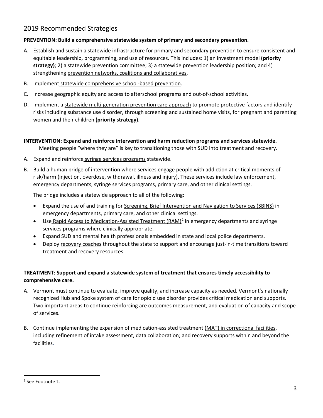# 2019 Recommended Strategies

#### **PREVENTION: Build a comprehensive statewide system of primary and secondary prevention.**

- A. Establish and sustain a statewide infrastructure for primary and secondary prevention to ensure consistent and equitable leadership, programming, and use of resources. This includes: 1) an investment model **(priority strategy)**; 2) a statewide prevention committee; 3) a statewide prevention leadership position; and 4) strengthening prevention networks, coalitions and collaboratives.
- B. Implement statewide comprehensive school-based prevention.
- C. Increase geographic equity and access to afterschool programs and out-of-school activities.
- D. Implement a statewide multi-generation prevention care approach to promote protective factors and identify risks including substance use disorder, through screening and sustained home visits, for pregnant and parenting women and their children **(priority strategy)**.

#### **INTERVENTION: Expand and reinforce intervention and harm reduction programs and services statewide.**

Meeting people "where they are" is key to transitioning those with SUD into treatment and recovery.

- A. Expand and reinforce syringe services programs statewide.
- B. Build a human bridge of intervention where services engage people with addiction at critical moments of risk/harm (injection, overdose, withdrawal, illness and injury). These services include law enforcement, emergency departments, syringe services programs, primary care, and other clinical settings.

The bridge includes a statewide approach to all of the following:

- Expand the use of and training for Screening, Brief Intervention and Navigation to Services (SBINS) in emergency departments, primary care, and other clinical settings.
- Use Rapid Access to Medication-Assisted Treatment  $(RAM)^2$  $(RAM)^2$  in emergency departments and syringe services programs where clinically appropriate.
- Expand SUD and mental health professionals embedded in state and local police departments.
- Deploy recovery coaches throughout the state to support and encourage just-in-time transitions toward treatment and recovery resources.

#### **TREATMENT: Support and expand a statewide system of treatment that ensures timely accessibility to comprehensive care.**

- A. Vermont must continue to evaluate, improve quality, and increase capacity as needed. Vermont's nationally recognized Hub and Spoke system of care for opioid use disorder provides critical medication and supports. Two important areas to continue reinforcing are outcomes measurement, and evaluation of capacity and scope of services.
- B. Continue implementing the expansion of medication-assisted treatment (MAT) in correctional facilities, including refinement of intake assessment, data collaboration; and recovery supports within and beyond the facilities.

<span id="page-2-0"></span><sup>&</sup>lt;sup>2</sup> See Footnote 1.